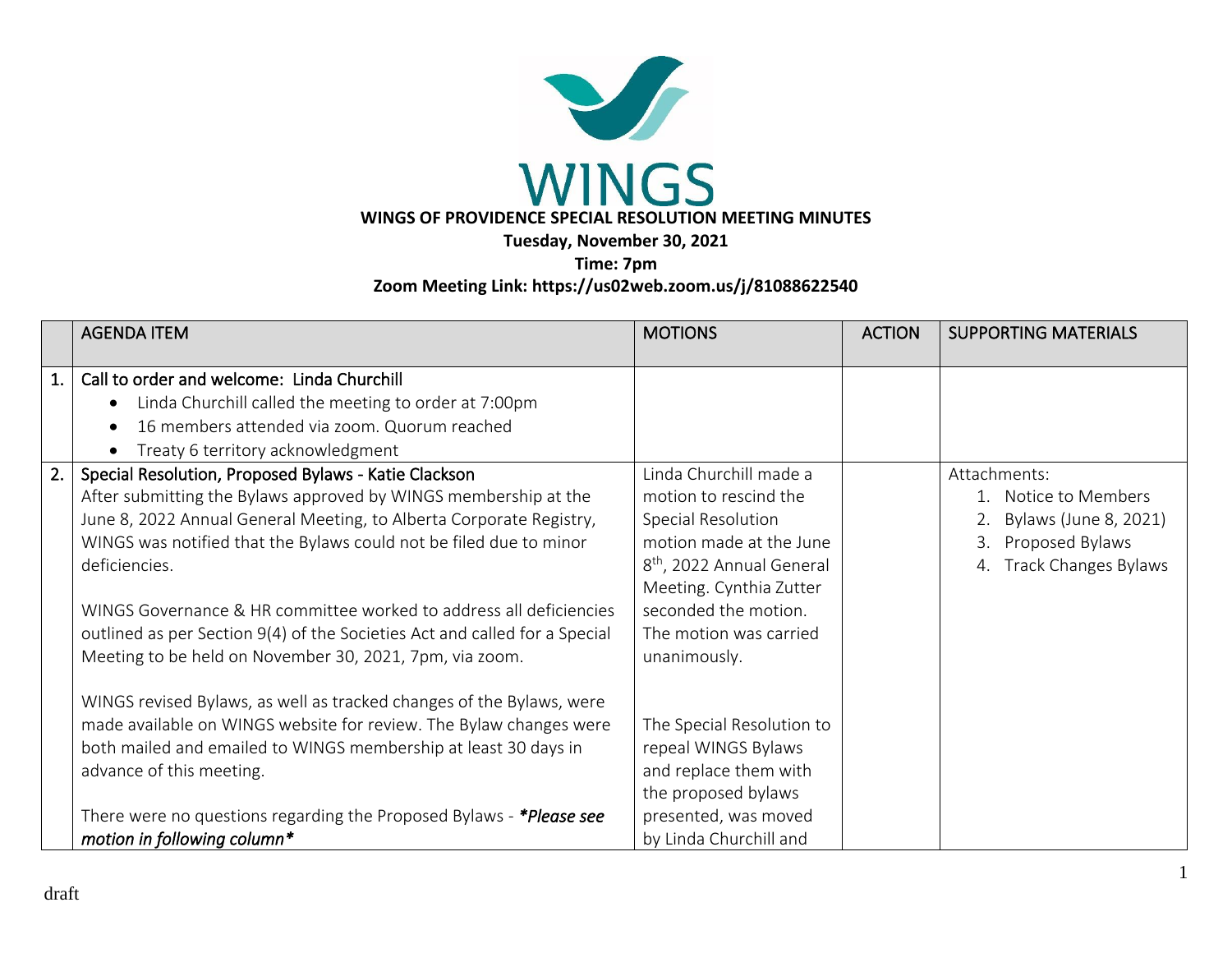

**Time: 7pm Zoom Meeting Link: https://us02web.zoom.us/j/81088622540** 

|    | <b>AGENDA ITEM</b>                                                                                                                                                                                                                                                                                                                                                                                                                                                                                   | <b>MOTIONS</b>                                                                                                                                                                                                                         | <b>ACTION</b> | <b>SUPPORTING MATERIALS</b>                                                                                                 |
|----|------------------------------------------------------------------------------------------------------------------------------------------------------------------------------------------------------------------------------------------------------------------------------------------------------------------------------------------------------------------------------------------------------------------------------------------------------------------------------------------------------|----------------------------------------------------------------------------------------------------------------------------------------------------------------------------------------------------------------------------------------|---------------|-----------------------------------------------------------------------------------------------------------------------------|
| 1. | Call to order and welcome: Linda Churchill<br>Linda Churchill called the meeting to order at 7:00pm<br>$\bullet$<br>16 members attended via zoom. Quorum reached<br>Treaty 6 territory acknowledgment<br>$\bullet$                                                                                                                                                                                                                                                                                   |                                                                                                                                                                                                                                        |               |                                                                                                                             |
| 2. | Special Resolution, Proposed Bylaws - Katie Clackson<br>After submitting the Bylaws approved by WINGS membership at the<br>June 8, 2022 Annual General Meeting, to Alberta Corporate Registry,<br>WINGS was notified that the Bylaws could not be filed due to minor<br>deficiencies.<br>WINGS Governance & HR committee worked to address all deficiencies<br>outlined as per Section 9(4) of the Societies Act and called for a Special<br>Meeting to be held on November 30, 2021, 7pm, via zoom. | Linda Churchill made a<br>motion to rescind the<br>Special Resolution<br>motion made at the June<br>8 <sup>th</sup> , 2022 Annual General<br>Meeting. Cynthia Zutter<br>seconded the motion.<br>The motion was carried<br>unanimously. |               | Attachments:<br>1. Notice to Members<br>Bylaws (June 8, 2021)<br>Proposed Bylaws<br>3.<br><b>Track Changes Bylaws</b><br>4. |
|    | WINGS revised Bylaws, as well as tracked changes of the Bylaws, were<br>made available on WINGS website for review. The Bylaw changes were<br>both mailed and emailed to WINGS membership at least 30 days in<br>advance of this meeting.<br>There were no questions regarding the Proposed Bylaws - *Please see<br>motion in following column*                                                                                                                                                      | The Special Resolution to<br>repeal WINGS Bylaws<br>and replace them with<br>the proposed bylaws<br>presented, was moved<br>by Linda Churchill and                                                                                     |               |                                                                                                                             |